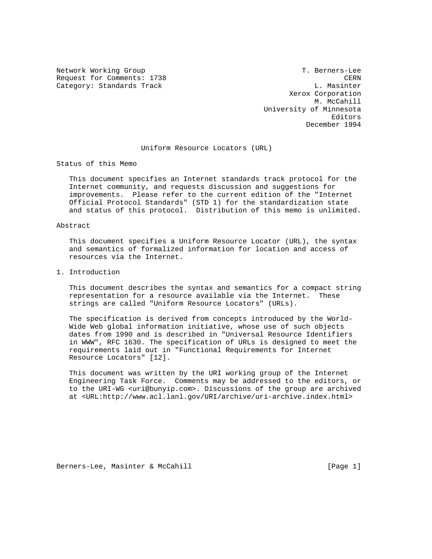Network Working Group T. Berners-Lee Request for Comments: 1738 CERN Category: Standards Track L. Massinter

 Xerox Corporation M. McCahill University of Minnesota Editors December 1994

### Uniform Resource Locators (URL)

Status of this Memo

 This document specifies an Internet standards track protocol for the Internet community, and requests discussion and suggestions for improvements. Please refer to the current edition of the "Internet Official Protocol Standards" (STD 1) for the standardization state and status of this protocol. Distribution of this memo is unlimited.

# Abstract

 This document specifies a Uniform Resource Locator (URL), the syntax and semantics of formalized information for location and access of resources via the Internet.

# 1. Introduction

 This document describes the syntax and semantics for a compact string representation for a resource available via the Internet. These strings are called "Uniform Resource Locators" (URLs).

 The specification is derived from concepts introduced by the World- Wide Web global information initiative, whose use of such objects dates from 1990 and is described in "Universal Resource Identifiers in WWW", RFC 1630. The specification of URLs is designed to meet the requirements laid out in "Functional Requirements for Internet Resource Locators" [12].

 This document was written by the URI working group of the Internet Engineering Task Force. Comments may be addressed to the editors, or to the URI-WG <uri@bunyip.com>. Discussions of the group are archived at <URL:http://www.acl.lanl.gov/URI/archive/uri-archive.index.html>

Berners-Lee, Masinter & McCahill **Example 1** [Page 1]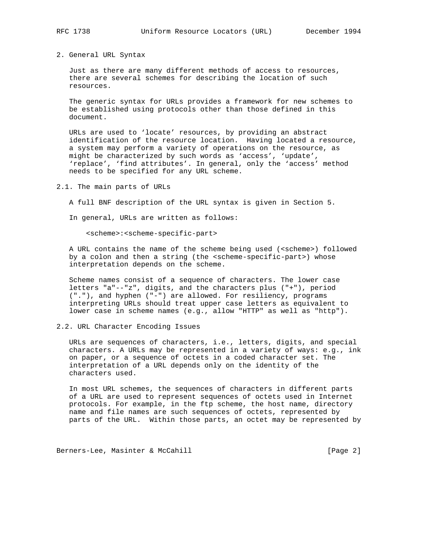2. General URL Syntax

 Just as there are many different methods of access to resources, there are several schemes for describing the location of such resources.

 The generic syntax for URLs provides a framework for new schemes to be established using protocols other than those defined in this document.

 URLs are used to 'locate' resources, by providing an abstract identification of the resource location. Having located a resource, a system may perform a variety of operations on the resource, as might be characterized by such words as 'access', 'update', 'replace', 'find attributes'. In general, only the 'access' method needs to be specified for any URL scheme.

2.1. The main parts of URLs

A full BNF description of the URL syntax is given in Section 5.

In general, URLs are written as follows:

<scheme>:<scheme-specific-part>

A URL contains the name of the scheme being used (<scheme>) followed by a colon and then a string (the <scheme-specific-part>) whose interpretation depends on the scheme.

 Scheme names consist of a sequence of characters. The lower case letters "a"--"z", digits, and the characters plus ("+"), period ("."), and hyphen ("-") are allowed. For resiliency, programs interpreting URLs should treat upper case letters as equivalent to lower case in scheme names (e.g., allow "HTTP" as well as "http").

2.2. URL Character Encoding Issues

 URLs are sequences of characters, i.e., letters, digits, and special characters. A URLs may be represented in a variety of ways: e.g., ink on paper, or a sequence of octets in a coded character set. The interpretation of a URL depends only on the identity of the characters used.

 In most URL schemes, the sequences of characters in different parts of a URL are used to represent sequences of octets used in Internet protocols. For example, in the ftp scheme, the host name, directory name and file names are such sequences of octets, represented by parts of the URL. Within those parts, an octet may be represented by

Berners-Lee, Masinter & McCahill **Example 2** and McCahill and McCahill and McCahill and McCahill and McCahill and McCahill and McCahill and McCahill and McCahill and McCahill and McCahill and McCahill and McCahill and McCa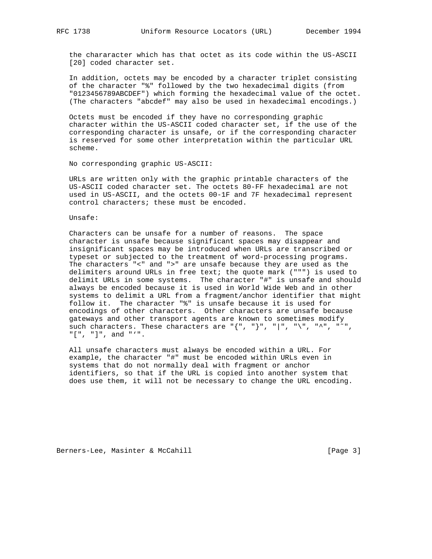the chararacter which has that octet as its code within the US-ASCII [20] coded character set.

 In addition, octets may be encoded by a character triplet consisting of the character "%" followed by the two hexadecimal digits (from "0123456789ABCDEF") which forming the hexadecimal value of the octet. (The characters "abcdef" may also be used in hexadecimal encodings.)

 Octets must be encoded if they have no corresponding graphic character within the US-ASCII coded character set, if the use of the corresponding character is unsafe, or if the corresponding character is reserved for some other interpretation within the particular URL scheme.

No corresponding graphic US-ASCII:

 URLs are written only with the graphic printable characters of the US-ASCII coded character set. The octets 80-FF hexadecimal are not used in US-ASCII, and the octets 00-1F and 7F hexadecimal represent control characters; these must be encoded.

Unsafe:

 Characters can be unsafe for a number of reasons. The space character is unsafe because significant spaces may disappear and insignificant spaces may be introduced when URLs are transcribed or typeset or subjected to the treatment of word-processing programs. The characters "<" and ">" are unsafe because they are used as the delimiters around URLs in free text; the quote mark (""") is used to delimit URLs in some systems. The character "#" is unsafe and should always be encoded because it is used in World Wide Web and in other systems to delimit a URL from a fragment/anchor identifier that might follow it. The character "%" is unsafe because it is used for encodings of other characters. Other characters are unsafe because gateways and other transport agents are known to sometimes modify such characters. These characters are "{", "}", "|", "\", "^", "<sup>~"</sup>, "[", "]", and "'".

 All unsafe characters must always be encoded within a URL. For example, the character "#" must be encoded within URLs even in systems that do not normally deal with fragment or anchor identifiers, so that if the URL is copied into another system that does use them, it will not be necessary to change the URL encoding.

Berners-Lee, Masinter & McCahill **Example 20** (Page 3)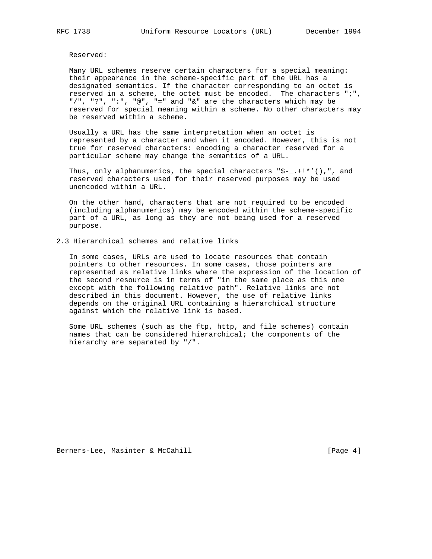Reserved:

 Many URL schemes reserve certain characters for a special meaning: their appearance in the scheme-specific part of the URL has a designated semantics. If the character corresponding to an octet is reserved in a scheme, the octet must be encoded. The characters ";", "/", "?", ":", "@", "=" and "&" are the characters which may be reserved for special meaning within a scheme. No other characters may be reserved within a scheme.

 Usually a URL has the same interpretation when an octet is represented by a character and when it encoded. However, this is not true for reserved characters: encoding a character reserved for a particular scheme may change the semantics of a URL.

Thus, only alphanumerics, the special characters  $"\xi_{-}$ .+!\*'(),", and reserved characters used for their reserved purposes may be used unencoded within a URL.

 On the other hand, characters that are not required to be encoded (including alphanumerics) may be encoded within the scheme-specific part of a URL, as long as they are not being used for a reserved purpose.

# 2.3 Hierarchical schemes and relative links

 In some cases, URLs are used to locate resources that contain pointers to other resources. In some cases, those pointers are represented as relative links where the expression of the location of the second resource is in terms of "in the same place as this one except with the following relative path". Relative links are not described in this document. However, the use of relative links depends on the original URL containing a hierarchical structure against which the relative link is based.

 Some URL schemes (such as the ftp, http, and file schemes) contain names that can be considered hierarchical; the components of the hierarchy are separated by "/".

Berners-Lee, Masinter & McCahill **Example 2018** [Page 4]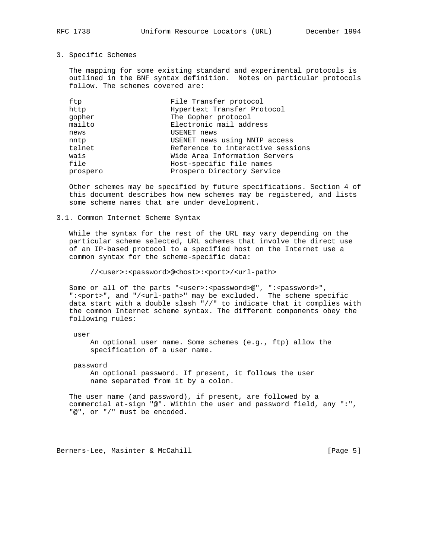# 3. Specific Schemes

 The mapping for some existing standard and experimental protocols is outlined in the BNF syntax definition. Notes on particular protocols follow. The schemes covered are:

| ftp      | File Transfer protocol            |
|----------|-----------------------------------|
| http     | Hypertext Transfer Protocol       |
| gopher   | The Gopher protocol               |
| mailto   | Electronic mail address           |
| news     | USENET news                       |
| nntp     | USENET news using NNTP access     |
| telnet   | Reference to interactive sessions |
| wais     | Wide Area Information Servers     |
| file     | Host-specific file names          |
| prospero | Prospero Directory Service        |

 Other schemes may be specified by future specifications. Section 4 of this document describes how new schemes may be registered, and lists some scheme names that are under development.

# 3.1. Common Internet Scheme Syntax

 While the syntax for the rest of the URL may vary depending on the particular scheme selected, URL schemes that involve the direct use of an IP-based protocol to a specified host on the Internet use a common syntax for the scheme-specific data:

//<user>:<password>@<host>:<port>/<url-path>

Some or all of the parts "<user>:<password>@", ":<password>", ":<port>", and "/<url-path>" may be excluded. The scheme specific data start with a double slash "//" to indicate that it complies with the common Internet scheme syntax. The different components obey the following rules:

#### user

 An optional user name. Some schemes (e.g., ftp) allow the specification of a user name.

 password An optional password. If present, it follows the user name separated from it by a colon.

 The user name (and password), if present, are followed by a commercial at-sign "@". Within the user and password field, any ":", "@", or "/" must be encoded.

Berners-Lee, Masinter & McCahill **Example 2018** [Page 5]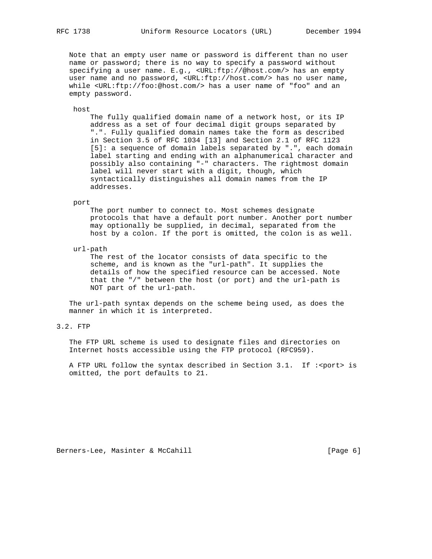Note that an empty user name or password is different than no user name or password; there is no way to specify a password without specifying a user name. E.g., <URL:ftp://@host.com/> has an empty user name and no password, <URL:ftp://host.com/> has no user name, while <URL:ftp://foo:@host.com/> has a user name of "foo" and an empty password.

host

 The fully qualified domain name of a network host, or its IP address as a set of four decimal digit groups separated by ".". Fully qualified domain names take the form as described in Section 3.5 of RFC 1034 [13] and Section 2.1 of RFC 1123 [5]: a sequence of domain labels separated by ".", each domain label starting and ending with an alphanumerical character and possibly also containing "-" characters. The rightmost domain label will never start with a digit, though, which syntactically distinguishes all domain names from the IP addresses.

#### port

 The port number to connect to. Most schemes designate protocols that have a default port number. Another port number may optionally be supplied, in decimal, separated from the host by a colon. If the port is omitted, the colon is as well.

url-path

 The rest of the locator consists of data specific to the scheme, and is known as the "url-path". It supplies the details of how the specified resource can be accessed. Note that the "/" between the host (or port) and the url-path is NOT part of the url-path.

 The url-path syntax depends on the scheme being used, as does the manner in which it is interpreted.

# 3.2. FTP

 The FTP URL scheme is used to designate files and directories on Internet hosts accessible using the FTP protocol (RFC959).

 A FTP URL follow the syntax described in Section 3.1. If :<port> is omitted, the port defaults to 21.

Berners-Lee, Masinter & McCahill **Example 19** (Page 6)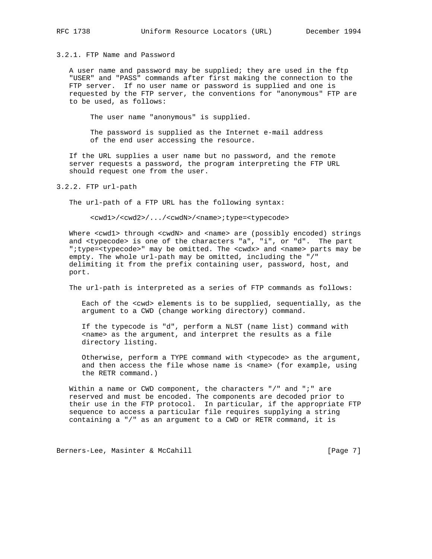### 3.2.1. FTP Name and Password

 A user name and password may be supplied; they are used in the ftp "USER" and "PASS" commands after first making the connection to the FTP server. If no user name or password is supplied and one is requested by the FTP server, the conventions for "anonymous" FTP are to be used, as follows:

The user name "anonymous" is supplied.

 The password is supplied as the Internet e-mail address of the end user accessing the resource.

 If the URL supplies a user name but no password, and the remote server requests a password, the program interpreting the FTP URL should request one from the user.

3.2.2. FTP url-path

The url-path of a FTP URL has the following syntax:

<cwd1>/<cwd2>/.../<cwdN>/<name>;type=<typecode>

Where <cwd1> through <cwdN> and <name> are (possibly encoded) strings and <typecode> is one of the characters "a", "i", or "d". The part ";type=<typecode>" may be omitted. The <cwdx> and <name> parts may be empty. The whole url-path may be omitted, including the "/" delimiting it from the prefix containing user, password, host, and port.

The url-path is interpreted as a series of FTP commands as follows:

 Each of the <cwd> elements is to be supplied, sequentially, as the argument to a CWD (change working directory) command.

 If the typecode is "d", perform a NLST (name list) command with <name> as the argument, and interpret the results as a file directory listing.

 Otherwise, perform a TYPE command with <typecode> as the argument, and then access the file whose name is <name> (for example, using the RETR command.)

Within a name or CWD component, the characters "/" and ";" are reserved and must be encoded. The components are decoded prior to their use in the FTP protocol. In particular, if the appropriate FTP sequence to access a particular file requires supplying a string containing a "/" as an argument to a CWD or RETR command, it is

Berners-Lee, Masinter & McCahill **Example 20** (Page 7)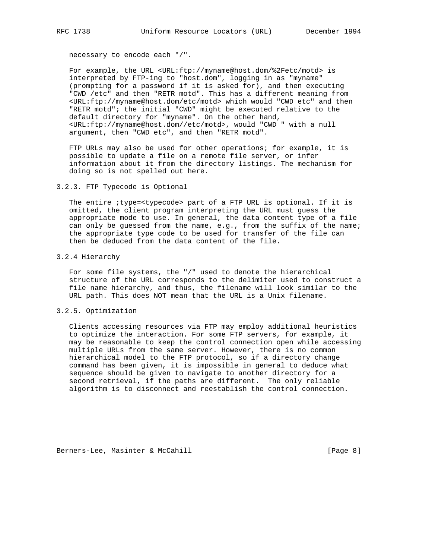necessary to encode each "/".

 For example, the URL <URL:ftp://myname@host.dom/%2Fetc/motd> is interpreted by FTP-ing to "host.dom", logging in as "myname" (prompting for a password if it is asked for), and then executing "CWD /etc" and then "RETR motd". This has a different meaning from <URL:ftp://myname@host.dom/etc/motd> which would "CWD etc" and then "RETR motd"; the initial "CWD" might be executed relative to the default directory for "myname". On the other hand, <URL:ftp://myname@host.dom//etc/motd>, would "CWD " with a null argument, then "CWD etc", and then "RETR motd".

 FTP URLs may also be used for other operations; for example, it is possible to update a file on a remote file server, or infer information about it from the directory listings. The mechanism for doing so is not spelled out here.

3.2.3. FTP Typecode is Optional

 The entire ;type=<typecode> part of a FTP URL is optional. If it is omitted, the client program interpreting the URL must guess the appropriate mode to use. In general, the data content type of a file can only be guessed from the name, e.g., from the suffix of the name; the appropriate type code to be used for transfer of the file can then be deduced from the data content of the file.

# 3.2.4 Hierarchy

 For some file systems, the "/" used to denote the hierarchical structure of the URL corresponds to the delimiter used to construct a file name hierarchy, and thus, the filename will look similar to the URL path. This does NOT mean that the URL is a Unix filename.

# 3.2.5. Optimization

 Clients accessing resources via FTP may employ additional heuristics to optimize the interaction. For some FTP servers, for example, it may be reasonable to keep the control connection open while accessing multiple URLs from the same server. However, there is no common hierarchical model to the FTP protocol, so if a directory change command has been given, it is impossible in general to deduce what sequence should be given to navigate to another directory for a second retrieval, if the paths are different. The only reliable algorithm is to disconnect and reestablish the control connection.

Berners-Lee, Masinter & McCahill **Example 2018** [Page 8]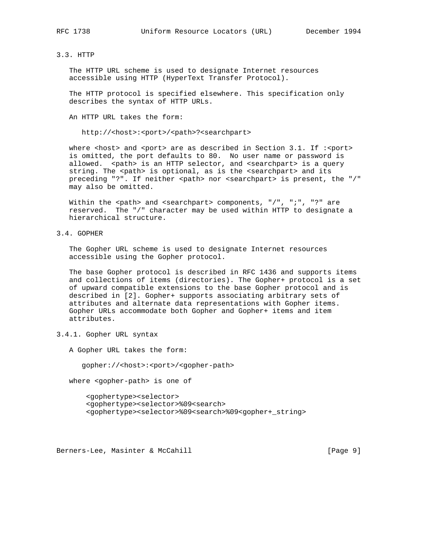3.3. HTTP

 The HTTP URL scheme is used to designate Internet resources accessible using HTTP (HyperText Transfer Protocol).

 The HTTP protocol is specified elsewhere. This specification only describes the syntax of HTTP URLs.

An HTTP URL takes the form:

http://<host>:<port>/<path>?<searchpart>

where <host> and <port> are as described in Section 3.1. If  $:$  <port> is omitted, the port defaults to 80. No user name or password is allowed. <path> is an HTTP selector, and <searchpart> is a query string. The <path> is optional, as is the <searchpart> and its preceding "?". If neither <path> nor <searchpart> is present, the "/" may also be omitted.

Within the <path> and <searchpart> components, "/", ";", "?" are reserved. The "/" character may be used within HTTP to designate a hierarchical structure.

3.4. GOPHER

 The Gopher URL scheme is used to designate Internet resources accessible using the Gopher protocol.

 The base Gopher protocol is described in RFC 1436 and supports items and collections of items (directories). The Gopher+ protocol is a set of upward compatible extensions to the base Gopher protocol and is described in [2]. Gopher+ supports associating arbitrary sets of attributes and alternate data representations with Gopher items. Gopher URLs accommodate both Gopher and Gopher+ items and item attributes.

3.4.1. Gopher URL syntax

A Gopher URL takes the form:

gopher://<host>:<port>/<gopher-path>

where <gopher-path> is one of

 <gophertype><selector> <gophertype><selector>%09<search> <gophertype><selector>%09<search>%09<gopher+\_string>

Berners-Lee, Masinter & McCahill **Example 2018** [Page 9]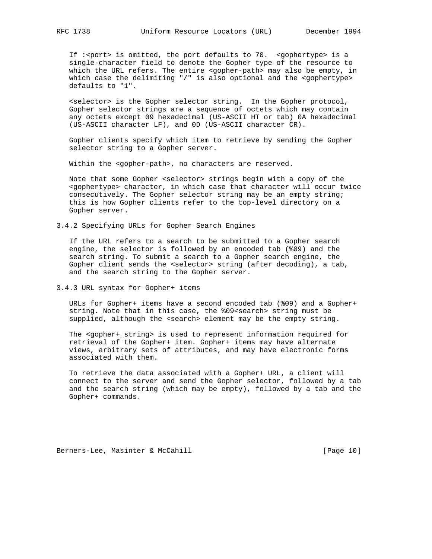If :<port> is omitted, the port defaults to 70. <gophertype> is a single-character field to denote the Gopher type of the resource to which the URL refers. The entire <gopher-path> may also be empty, in which case the delimiting "/" is also optional and the <gophertype> defaults to "1".

 <selector> is the Gopher selector string. In the Gopher protocol, Gopher selector strings are a sequence of octets which may contain any octets except 09 hexadecimal (US-ASCII HT or tab) 0A hexadecimal (US-ASCII character LF), and 0D (US-ASCII character CR).

 Gopher clients specify which item to retrieve by sending the Gopher selector string to a Gopher server.

Within the <gopher-path>, no characters are reserved.

Note that some Gopher <selector> strings begin with a copy of the <gophertype> character, in which case that character will occur twice consecutively. The Gopher selector string may be an empty string; this is how Gopher clients refer to the top-level directory on a Gopher server.

3.4.2 Specifying URLs for Gopher Search Engines

 If the URL refers to a search to be submitted to a Gopher search engine, the selector is followed by an encoded tab (%09) and the search string. To submit a search to a Gopher search engine, the Gopher client sends the <selector> string (after decoding), a tab, and the search string to the Gopher server.

3.4.3 URL syntax for Gopher+ items

 URLs for Gopher+ items have a second encoded tab (%09) and a Gopher+ string. Note that in this case, the %09<search> string must be supplied, although the <search> element may be the empty string.

 The <gopher+\_string> is used to represent information required for retrieval of the Gopher+ item. Gopher+ items may have alternate views, arbitrary sets of attributes, and may have electronic forms associated with them.

 To retrieve the data associated with a Gopher+ URL, a client will connect to the server and send the Gopher selector, followed by a tab and the search string (which may be empty), followed by a tab and the Gopher+ commands.

Berners-Lee, Masinter & McCahill [Page 10]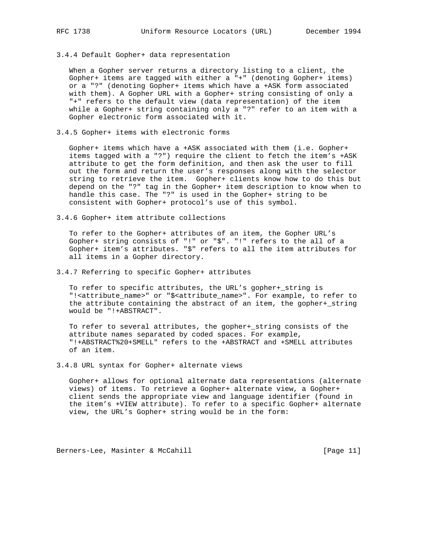### 3.4.4 Default Gopher+ data representation

 When a Gopher server returns a directory listing to a client, the Gopher+ items are tagged with either a "+" (denoting Gopher+ items) or a "?" (denoting Gopher+ items which have a +ASK form associated with them). A Gopher URL with a Gopher+ string consisting of only a "+" refers to the default view (data representation) of the item while a Gopher+ string containing only a "?" refer to an item with a Gopher electronic form associated with it.

3.4.5 Gopher+ items with electronic forms

 Gopher+ items which have a +ASK associated with them (i.e. Gopher+ items tagged with a "?") require the client to fetch the item's +ASK attribute to get the form definition, and then ask the user to fill out the form and return the user's responses along with the selector string to retrieve the item. Gopher+ clients know how to do this but depend on the "?" tag in the Gopher+ item description to know when to handle this case. The "?" is used in the Gopher+ string to be consistent with Gopher+ protocol's use of this symbol.

3.4.6 Gopher+ item attribute collections

 To refer to the Gopher+ attributes of an item, the Gopher URL's Gopher+ string consists of "!" or "\$". "!" refers to the all of a Gopher+ item's attributes. "\$" refers to all the item attributes for all items in a Gopher directory.

3.4.7 Referring to specific Gopher+ attributes

 To refer to specific attributes, the URL's gopher+\_string is "!<attribute\_name>" or "\$<attribute\_name>". For example, to refer to the attribute containing the abstract of an item, the gopher+\_string would be "!+ABSTRACT".

 To refer to several attributes, the gopher+\_string consists of the attribute names separated by coded spaces. For example, "!+ABSTRACT%20+SMELL" refers to the +ABSTRACT and +SMELL attributes of an item.

3.4.8 URL syntax for Gopher+ alternate views

 Gopher+ allows for optional alternate data representations (alternate views) of items. To retrieve a Gopher+ alternate view, a Gopher+ client sends the appropriate view and language identifier (found in the item's +VIEW attribute). To refer to a specific Gopher+ alternate view, the URL's Gopher+ string would be in the form:

Berners-Lee, Masinter & McCahill [Page 11]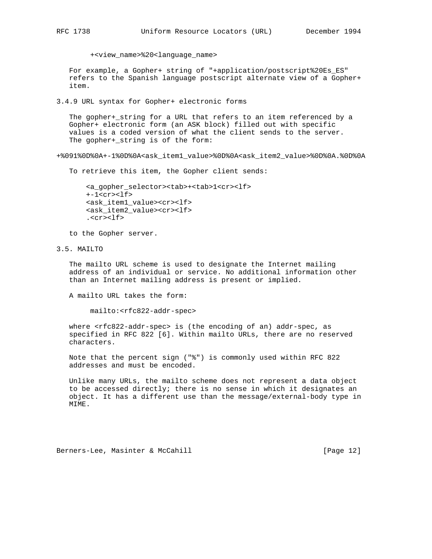+<view\_name>%20<language\_name>

For example, a Gopher+ string of "+application/postscript%20Es\_ES" refers to the Spanish language postscript alternate view of a Gopher+ item.

3.4.9 URL syntax for Gopher+ electronic forms

 The gopher+\_string for a URL that refers to an item referenced by a Gopher+ electronic form (an ASK block) filled out with specific values is a coded version of what the client sends to the server. The gopher+\_string is of the form:

+%091%0D%0A+-1%0D%0A<ask\_item1\_value>%0D%0A<ask\_item2\_value>%0D%0A.%0D%0A

To retrieve this item, the Gopher client sends:

 <a\_gopher\_selector><tab>+<tab>1<cr><lf>  $+-1 < cr><1f>$  <ask\_item1\_value><cr><lf> <ask\_item2\_value><cr><lf> .<cr><lf>

to the Gopher server.

3.5. MAILTO

 The mailto URL scheme is used to designate the Internet mailing address of an individual or service. No additional information other than an Internet mailing address is present or implied.

A mailto URL takes the form:

mailto:<rfc822-addr-spec>

where <rfc822-addr-spec> is (the encoding of an) addr-spec, as specified in RFC 822 [6]. Within mailto URLs, there are no reserved characters.

 Note that the percent sign ("%") is commonly used within RFC 822 addresses and must be encoded.

 Unlike many URLs, the mailto scheme does not represent a data object to be accessed directly; there is no sense in which it designates an object. It has a different use than the message/external-body type in MIME.

Berners-Lee, Masinter & McCahill [Page 12]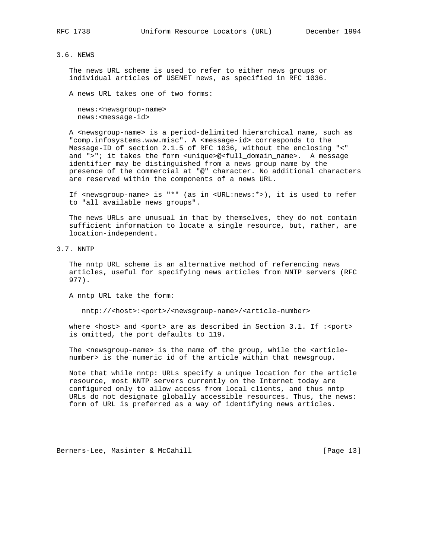# 3.6. NEWS

 The news URL scheme is used to refer to either news groups or individual articles of USENET news, as specified in RFC 1036.

A news URL takes one of two forms:

 news:<newsgroup-name> news:<message-id>

 A <newsgroup-name> is a period-delimited hierarchical name, such as "comp.infosystems.www.misc". A <message-id> corresponds to the Message-ID of section 2.1.5 of RFC 1036, without the enclosing "<" and ">"; it takes the form <unique>@<full\_domain\_name>. A message identifier may be distinguished from a news group name by the presence of the commercial at "@" character. No additional characters are reserved within the components of a news URL.

 If <newsgroup-name> is "\*" (as in <URL:news:\*>), it is used to refer to "all available news groups".

 The news URLs are unusual in that by themselves, they do not contain sufficient information to locate a single resource, but, rather, are location-independent.

3.7. NNTP

 The nntp URL scheme is an alternative method of referencing news articles, useful for specifying news articles from NNTP servers (RFC 977).

A nntp URL take the form:

nntp://<host>:<port>/<newsgroup-name>/<article-number>

where <host> and <port> are as described in Section 3.1. If  $:$  <port> is omitted, the port defaults to 119.

The <newsgroup-name> is the name of the group, while the <articlenumber> is the numeric id of the article within that newsgroup.

 Note that while nntp: URLs specify a unique location for the article resource, most NNTP servers currently on the Internet today are configured only to allow access from local clients, and thus nntp URLs do not designate globally accessible resources. Thus, the news: form of URL is preferred as a way of identifying news articles.

Berners-Lee, Masinter & McCahill [Page 13]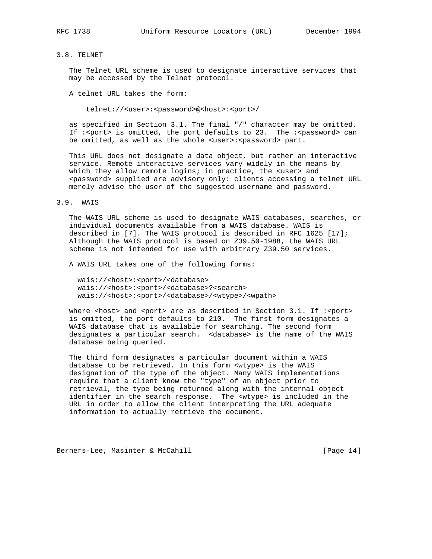# 3.8. TELNET

 The Telnet URL scheme is used to designate interactive services that may be accessed by the Telnet protocol.

A telnet URL takes the form:

telnet://<user>:<password>@<host>:<port>/

 as specified in Section 3.1. The final "/" character may be omitted. If :<port> is omitted, the port defaults to 23. The :<password> can be omitted, as well as the whole <user>:<password> part.

 This URL does not designate a data object, but rather an interactive service. Remote interactive services vary widely in the means by which they allow remote logins; in practice, the <user> and <password> supplied are advisory only: clients accessing a telnet URL merely advise the user of the suggested username and password.

### 3.9. WAIS

 The WAIS URL scheme is used to designate WAIS databases, searches, or individual documents available from a WAIS database. WAIS is described in [7]. The WAIS protocol is described in RFC 1625 [17]; Although the WAIS protocol is based on Z39.50-1988, the WAIS URL scheme is not intended for use with arbitrary Z39.50 services.

A WAIS URL takes one of the following forms:

 wais://<host>:<port>/<database> wais://<host>:<port>/<database>?<search> wais://<host>:<port>/<database>/<wtype>/<wpath>

where <host> and <port> are as described in Section 3.1. If  $:$  <port> is omitted, the port defaults to 210. The first form designates a WAIS database that is available for searching. The second form designates a particular search. <database> is the name of the WAIS database being queried.

 The third form designates a particular document within a WAIS database to be retrieved. In this form <wtype> is the WAIS designation of the type of the object. Many WAIS implementations require that a client know the "type" of an object prior to retrieval, the type being returned along with the internal object identifier in the search response. The <wtype> is included in the URL in order to allow the client interpreting the URL adequate information to actually retrieve the document.

Berners-Lee, Masinter & McCahill [Page 14]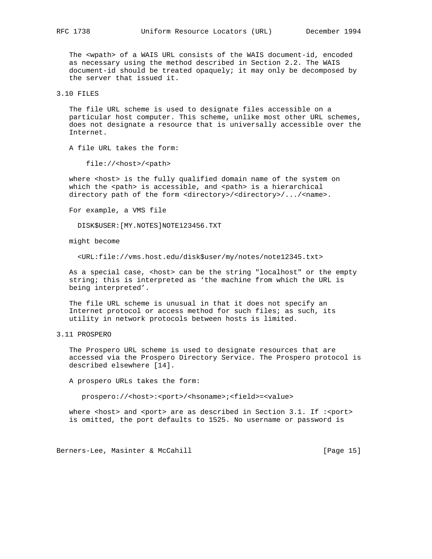The <wpath> of a WAIS URL consists of the WAIS document-id, encoded as necessary using the method described in Section 2.2. The WAIS document-id should be treated opaquely; it may only be decomposed by the server that issued it.

3.10 FILES

 The file URL scheme is used to designate files accessible on a particular host computer. This scheme, unlike most other URL schemes, does not designate a resource that is universally accessible over the Internet.

A file URL takes the form:

file://<host>/<path>

where <host> is the fully qualified domain name of the system on which the <path> is accessible, and <path> is a hierarchical directory path of the form <directory>/<directory>/.../<name>.

For example, a VMS file

DISK\$USER:[MY.NOTES]NOTE123456.TXT

might become

<URL:file://vms.host.edu/disk\$user/my/notes/note12345.txt>

As a special case, < host> can be the string "localhost" or the empty string; this is interpreted as 'the machine from which the URL is being interpreted'.

 The file URL scheme is unusual in that it does not specify an Internet protocol or access method for such files; as such, its utility in network protocols between hosts is limited.

# 3.11 PROSPERO

 The Prospero URL scheme is used to designate resources that are accessed via the Prospero Directory Service. The Prospero protocol is described elsewhere [14].

A prospero URLs takes the form:

prospero://<host>:<port>/<hsoname>;<field>=<value>

where <host> and <port> are as described in Section 3.1. If  $:$  <port> is omitted, the port defaults to 1525. No username or password is

Berners-Lee, Masinter & McCahill [Page 15]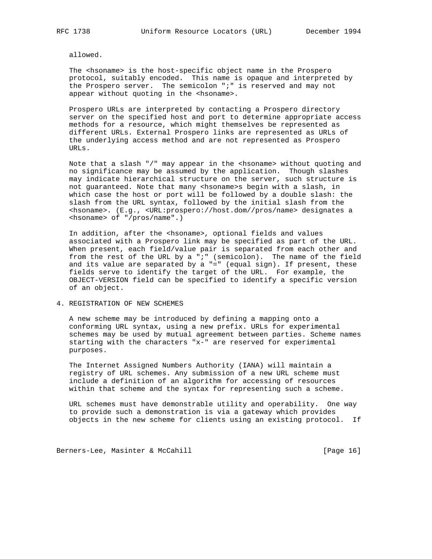allowed.

 The <hsoname> is the host-specific object name in the Prospero protocol, suitably encoded. This name is opaque and interpreted by the Prospero server. The semicolon ";" is reserved and may not appear without quoting in the <hsoname>.

 Prospero URLs are interpreted by contacting a Prospero directory server on the specified host and port to determine appropriate access methods for a resource, which might themselves be represented as different URLs. External Prospero links are represented as URLs of the underlying access method and are not represented as Prospero URLs.

Note that a slash "/" may appear in the <hsoname> without quoting and no significance may be assumed by the application. Though slashes may indicate hierarchical structure on the server, such structure is not guaranteed. Note that many <hsoname>s begin with a slash, in which case the host or port will be followed by a double slash: the slash from the URL syntax, followed by the initial slash from the <hsoname>. (E.g., <URL:prospero://host.dom//pros/name> designates a <hsoname> of "/pros/name".)

 In addition, after the <hsoname>, optional fields and values associated with a Prospero link may be specified as part of the URL. When present, each field/value pair is separated from each other and from the rest of the URL by a ";" (semicolon). The name of the field and its value are separated by a "=" (equal sign). If present, these fields serve to identify the target of the URL. For example, the OBJECT-VERSION field can be specified to identify a specific version of an object.

4. REGISTRATION OF NEW SCHEMES

 A new scheme may be introduced by defining a mapping onto a conforming URL syntax, using a new prefix. URLs for experimental schemes may be used by mutual agreement between parties. Scheme names starting with the characters "x-" are reserved for experimental purposes.

 The Internet Assigned Numbers Authority (IANA) will maintain a registry of URL schemes. Any submission of a new URL scheme must include a definition of an algorithm for accessing of resources within that scheme and the syntax for representing such a scheme.

 URL schemes must have demonstrable utility and operability. One way to provide such a demonstration is via a gateway which provides objects in the new scheme for clients using an existing protocol. If

Berners-Lee, Masinter & McCahill [Page 16]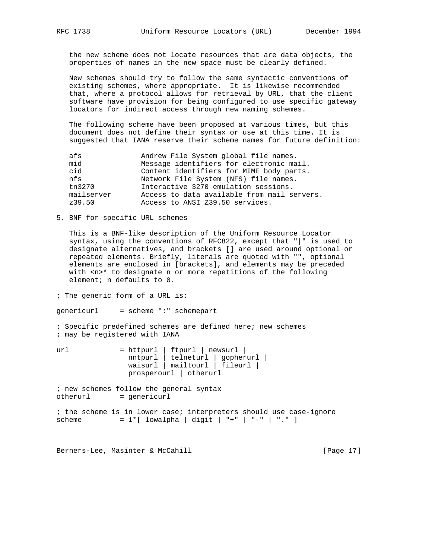the new scheme does not locate resources that are data objects, the properties of names in the new space must be clearly defined.

 New schemes should try to follow the same syntactic conventions of existing schemes, where appropriate. It is likewise recommended that, where a protocol allows for retrieval by URL, that the client software have provision for being configured to use specific gateway locators for indirect access through new naming schemes.

 The following scheme have been proposed at various times, but this document does not define their syntax or use at this time. It is suggested that IANA reserve their scheme names for future definition:

| afs        | Andrew File System global file names.       |
|------------|---------------------------------------------|
| mid        | Message identifiers for electronic mail.    |
| cid        | Content identifiers for MIME body parts.    |
| nfs        | Network File System (NFS) file names.       |
| tn3270     | Interactive 3270 emulation sessions.        |
| mailserver | Access to data available from mail servers. |
| z39.50     | Access to ANSI 239.50 services.             |

5. BNF for specific URL schemes

 This is a BNF-like description of the Uniform Resource Locator syntax, using the conventions of RFC822, except that "|" is used to designate alternatives, and brackets [] are used around optional or repeated elements. Briefly, literals are quoted with "", optional elements are enclosed in [brackets], and elements may be preceded with <n>\* to designate n or more repetitions of the following element; n defaults to 0.

; The generic form of a URL is:

genericurl = scheme ":" schemepart

; Specific predefined schemes are defined here; new schemes ; may be registered with IANA

| url    | $=$ httpurl   ftpurl   newsurl  <br>nntpurl   telneturl   gopherurl  <br>waisurl   mailtourl   fileurl  <br>prosperourl   otherurl |
|--------|------------------------------------------------------------------------------------------------------------------------------------|
|        | ; new schemes follow the general syntax                                                                                            |
| scheme | ; the scheme is in lower case; interpreters should use case-ignore<br>= 1*[ lowalpha   digit   "+"   "-"   "." ]                   |

Berners-Lee, Masinter & McCahill [Page 17]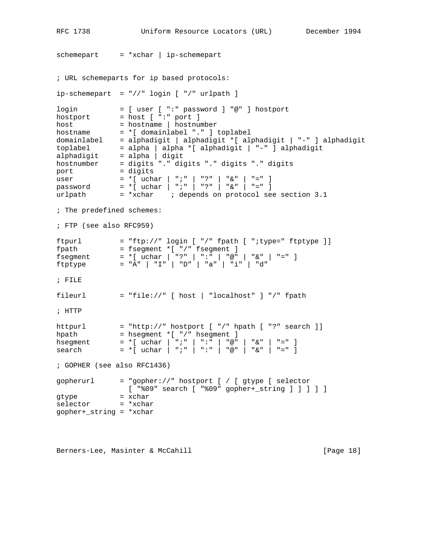```
schemepart = *xchar | ip-schemepart
; URL schemeparts for ip based protocols:
ip-schemepart = "//" login [ "/*" urlpath ]login = [ user [ ":" password ] "@" ] hostport
hostport = host [ ":" port ]
host = hostname | hostnumber
hostname = *[ domainlabel "." ] toplabel
domainlabel = alphadigit | alphadigit *[ alphadigit | "-" ] alphadigit
toplabel = alpha | alpha *[ alphadigit | "-" ] alphadigit
alphadigit = alpha | digit
hostnumber = digits "." digits "." digits "." digits
port = digits
user = *[ uchar | ";" | "?" | "&" | "=" ]
password = *[ uchar | ";" | "?" | "&" | "=" ]
urlpath = *xchar ; depends on protocol see section 3.1
; The predefined schemes:
; FTP (see also RFC959)
ftpurl = "ftp://" login [ "/" fpath [ ";type=" ftptype ]]
fpath = fsegment *[ "/" fsegment ]
fsegment = *[ uchar | "?" | ":" | "@" | "&" | "=" ]
ftptype = "A" | "I" | "D" | "a" | "i" | "d"
; FILE
fileurl = "file://" [ host | "localhost" ] "/" fpath
; HTTP
httpurl = "http://" hostport [ "/" hpath [ "?" search ]]
hpath = hsegment *[ "/" hsegment ]
hsegment = *[ uchar | ";" | ":" | "@" | "&" | "=" ]
search = *[ \text{ uchar} | " ; " | " : " | "@" | "&" | "=" ]; GOPHER (see also RFC1436)
gopherurl = "gopher://" hostport [ / [ gtype [ selector
               [ "%09" search [ "%09" gopher+_string ] ] ] ] ]
gtype = xchars = r = *<i>x</i>chargopher+_string = *xchar
```
RFC 1738 Uniform Resource Locators (URL) December 1994

Berners-Lee, Masinter & McCahill [Page 18]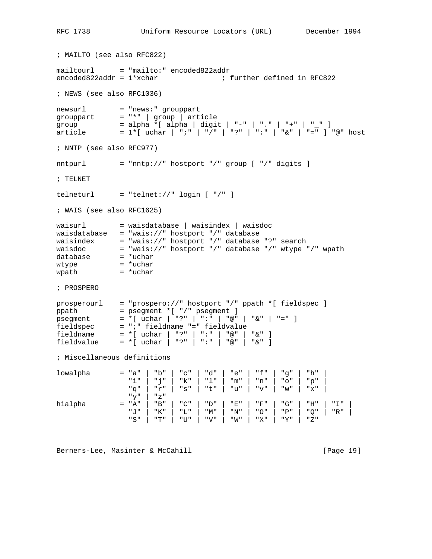```
; MAILTO (see also RFC822)
mailtourl = "mailto:" encoded822addr
encoded822addr = 1*xchar ; further defined in RFC822
; NEWS (see also RFC1036)
newsurl = "news:" grouppart
grouppart = " * " | group | articlegroup = alpha *[ alpha | digit | "-" | "." | "+" | "_" ]
article = 1 * [ \text{ uchar } | " ;" | " /" | " ?" | " :" | " x" | " =" ] " @" host; NNTP (see also RFC977)
nntpurl = "nntp://" hostport "/" group [ "/" digits ]
telneturl = "telnet://" login [ "/" ]; WAIS (see also RFC1625)
```
RFC 1738 Uniform Resource Locators (URL) December 1994

| waisurl      |                                                         | $=$ waisdatabase   waisindex   waisdoc |  |  |  |  |  |  |
|--------------|---------------------------------------------------------|----------------------------------------|--|--|--|--|--|--|
| waisdatabase | $=$ "wais://" hostport "/" database                     |                                        |  |  |  |  |  |  |
| waisindex    | $=$ "wais://" hostport "/" database "?" search          |                                        |  |  |  |  |  |  |
| waisdoc      | $=$ "wais://" hostport "/" database "/" wtype "/" wpath |                                        |  |  |  |  |  |  |
| database     | = *uchar                                                |                                        |  |  |  |  |  |  |
| wtype        | $=$ *uchar                                              |                                        |  |  |  |  |  |  |
| wpath        | = *uchar                                                |                                        |  |  |  |  |  |  |

; PROSPERO

; TELNET

```
prosperourl = "prospero://" hostport "/" ppath *[ fieldspec ]
ppath = psegment *[ "/" psegment ]
psegment = *[ uchar | "?" | ":" | "@" | "&" | "=" ]
fieldspec = ";" fieldname "=" fieldvalue
fieldname = *[ uchar | "?" | ":" | "@" | "&" ]
fieldvalue = *[ uchar | "?" | ":" | "@" | "&" ]
```
; Miscellaneous definitions

| lowalpha | $= "a"$ | "b"                                          | "C"  | "d"                                        | "e" | "f"   | "a"       | "h"   |             |
|----------|---------|----------------------------------------------|------|--------------------------------------------|-----|-------|-----------|-------|-------------|
|          | "i"     | $\blacksquare$ $\blacksquare$ $\blacksquare$ | "k"  | "1"                                        | "m" | "n"   | $"$ O $"$ | "p"   |             |
|          | "a"     | "r"                                          | "s"  | $1$ "t"                                    | "u" | " v " | " w "     | "x"   |             |
|          | " v"    | "Z"                                          |      |                                            |     |       |           |       |             |
| hialpha  | $=$ "A" | "B"                                          | "C"  | "D"                                        | "E" | "F"   | "G"       | "H"   | $H$ $T$ $H$ |
|          | "ர"     | "K"                                          | "L"  | "M"                                        | "N" | "O"   | "P"       | "Q"   | "R"         |
|          | "S"     | "T"                                          | " ט" | $\mathsf{L}$ = $\mathsf{L}$ = $\mathsf{L}$ | "W" | "X"   | "Y"       | " Z " |             |

Berners-Lee, Masinter & McCahill [Page 19]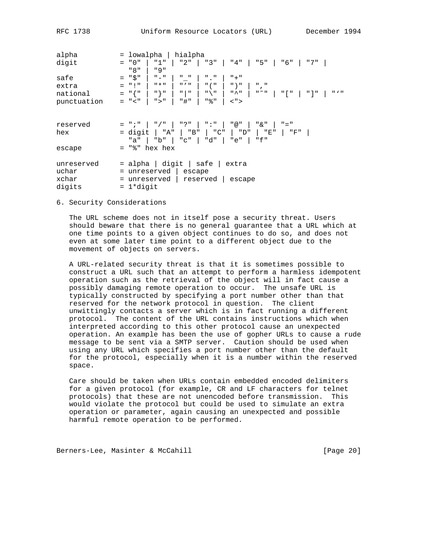| alpha       | = lowalpha   hialpha                                                                                                                                                                                                                                                                                                                                                                                                    |
|-------------|-------------------------------------------------------------------------------------------------------------------------------------------------------------------------------------------------------------------------------------------------------------------------------------------------------------------------------------------------------------------------------------------------------------------------|
| digit       | $= "0"   "1"   "2"   "3"   "4"   "5"   "6"   "7"  $                                                                                                                                                                                                                                                                                                                                                                     |
|             | ייפי   יי <b>8</b> "<br>$=$ $\frac{1}{2}$ $\frac{1}{2}$ $\frac{1}{2}$ $\frac{1}{2}$ $\frac{1}{2}$ $\frac{1}{2}$ $\frac{1}{2}$ $\frac{1}{2}$ $\frac{1}{2}$ $\frac{1}{2}$ $\frac{1}{2}$ $\frac{1}{2}$ $\frac{1}{2}$ $\frac{1}{2}$ $\frac{1}{2}$ $\frac{1}{2}$ $\frac{1}{2}$ $\frac{1}{2}$ $\frac{1}{2}$ $\frac{1}{2}$ $\frac{1}{2}$ $\frac{1}{2$                                                                          |
| safe        |                                                                                                                                                                                                                                                                                                                                                                                                                         |
| extra       | $\mathbf{r} = \begin{bmatrix} 0 & 0 & 0 & 0 \\ 0 & 0 & 0 & 0 \\ 0 & 0 & 0 & 0 \\ 0 & 0 & 0 & 0 \\ 0 & 0 & 0 & 0 \\ 0 & 0 & 0 & 0 \\ 0 & 0 & 0 & 0 \\ 0 & 0 & 0 & 0 \\ 0 & 0 & 0 & 0 \\ 0 & 0 & 0 & 0 \\ 0 & 0 & 0 & 0 & 0 \\ 0 & 0 & 0 & 0 & 0 \\ 0 & 0 & 0 & 0 & 0 \\ 0 & 0 & 0 & 0 & 0 \\ 0 & 0 & 0 & 0 & 0 & 0 \\ 0 & 0 & 0 &$                                                                                       |
| national    | $\mathbb{E} \left[ \begin{array}{c c c c c c} \mathbb{I} & \mathbb{I} & \mathbb{I} & \mathbb{I} & \mathbb{I} & \mathbb{I} & \mathbb{I} & \mathbb{I} & \mathbb{I} & \mathbb{I} & \mathbb{I} & \mathbb{I} & \mathbb{I} & \mathbb{I} & \mathbb{I} & \mathbb{I} & \mathbb{I} & \mathbb{I} & \mathbb{I} & \mathbb{I} & \mathbb{I} & \mathbb{I} & \mathbb{I} & \mathbb{I} & \mathbb{I} & \mathbb{I} & \mathbb{I} & \mathbb{I$ |
| punctuation | $=$ "<"   ">"   "#"   "%"   <">                                                                                                                                                                                                                                                                                                                                                                                         |
| reserved    | $=$ ";" $ $ "/" $ $ "?" $ $ ":" $ $ "@" $ $ "&" $ $ "="                                                                                                                                                                                                                                                                                                                                                                 |
| hex         | = digit   "A"   "B"   "C"   "D"   "E"   "F"                                                                                                                                                                                                                                                                                                                                                                             |
|             | "a"   "b"   "c"   "d"   "e"   "f"                                                                                                                                                                                                                                                                                                                                                                                       |
| escape      | $=$ " $\textdegree$ " hex hex                                                                                                                                                                                                                                                                                                                                                                                           |
| unreserved  | $=$ alpha   digit   safe   extra                                                                                                                                                                                                                                                                                                                                                                                        |
| uchar       | = unreserved   escape                                                                                                                                                                                                                                                                                                                                                                                                   |
| xchar       | $=$ unreserved   reserved   escape                                                                                                                                                                                                                                                                                                                                                                                      |
| digits      | $= 1*digit$                                                                                                                                                                                                                                                                                                                                                                                                             |
|             |                                                                                                                                                                                                                                                                                                                                                                                                                         |

6. Security Considerations

 The URL scheme does not in itself pose a security threat. Users should beware that there is no general guarantee that a URL which at one time points to a given object continues to do so, and does not even at some later time point to a different object due to the movement of objects on servers.

 A URL-related security threat is that it is sometimes possible to construct a URL such that an attempt to perform a harmless idempotent operation such as the retrieval of the object will in fact cause a possibly damaging remote operation to occur. The unsafe URL is typically constructed by specifying a port number other than that reserved for the network protocol in question. The client unwittingly contacts a server which is in fact running a different protocol. The content of the URL contains instructions which when interpreted according to this other protocol cause an unexpected operation. An example has been the use of gopher URLs to cause a rude message to be sent via a SMTP server. Caution should be used when using any URL which specifies a port number other than the default for the protocol, especially when it is a number within the reserved space.

 Care should be taken when URLs contain embedded encoded delimiters for a given protocol (for example, CR and LF characters for telnet protocols) that these are not unencoded before transmission. This would violate the protocol but could be used to simulate an extra operation or parameter, again causing an unexpected and possible harmful remote operation to be performed.

Berners-Lee, Masinter & McCahill [Page 20]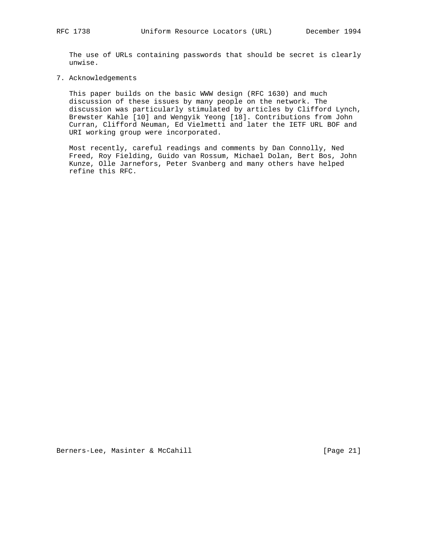The use of URLs containing passwords that should be secret is clearly unwise.

7. Acknowledgements

 This paper builds on the basic WWW design (RFC 1630) and much discussion of these issues by many people on the network. The discussion was particularly stimulated by articles by Clifford Lynch, Brewster Kahle [10] and Wengyik Yeong [18]. Contributions from John Curran, Clifford Neuman, Ed Vielmetti and later the IETF URL BOF and URI working group were incorporated.

 Most recently, careful readings and comments by Dan Connolly, Ned Freed, Roy Fielding, Guido van Rossum, Michael Dolan, Bert Bos, John Kunze, Olle Jarnefors, Peter Svanberg and many others have helped refine this RFC.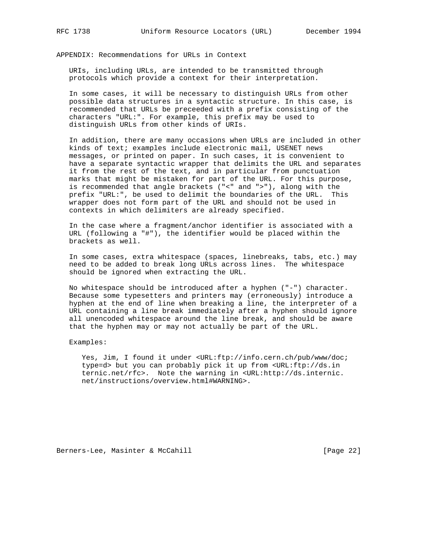APPENDIX: Recommendations for URLs in Context

 URIs, including URLs, are intended to be transmitted through protocols which provide a context for their interpretation.

 In some cases, it will be necessary to distinguish URLs from other possible data structures in a syntactic structure. In this case, is recommended that URLs be preceeded with a prefix consisting of the characters "URL:". For example, this prefix may be used to distinguish URLs from other kinds of URIs.

 In addition, there are many occasions when URLs are included in other kinds of text; examples include electronic mail, USENET news messages, or printed on paper. In such cases, it is convenient to have a separate syntactic wrapper that delimits the URL and separates it from the rest of the text, and in particular from punctuation marks that might be mistaken for part of the URL. For this purpose, is recommended that angle brackets ("<" and ">"), along with the prefix "URL:", be used to delimit the boundaries of the URL. This wrapper does not form part of the URL and should not be used in contexts in which delimiters are already specified.

 In the case where a fragment/anchor identifier is associated with a URL (following a "#"), the identifier would be placed within the brackets as well.

 In some cases, extra whitespace (spaces, linebreaks, tabs, etc.) may need to be added to break long URLs across lines. The whitespace should be ignored when extracting the URL.

 No whitespace should be introduced after a hyphen ("-") character. Because some typesetters and printers may (erroneously) introduce a hyphen at the end of line when breaking a line, the interpreter of a URL containing a line break immediately after a hyphen should ignore all unencoded whitespace around the line break, and should be aware that the hyphen may or may not actually be part of the URL.

Examples:

Yes, Jim, I found it under <URL:ftp://info.cern.ch/pub/www/doc; type=d> but you can probably pick it up from <URL:ftp://ds.in ternic.net/rfc>. Note the warning in <URL:http://ds.internic. net/instructions/overview.html#WARNING>.

Berners-Lee, Masinter & McCahill [Page 22]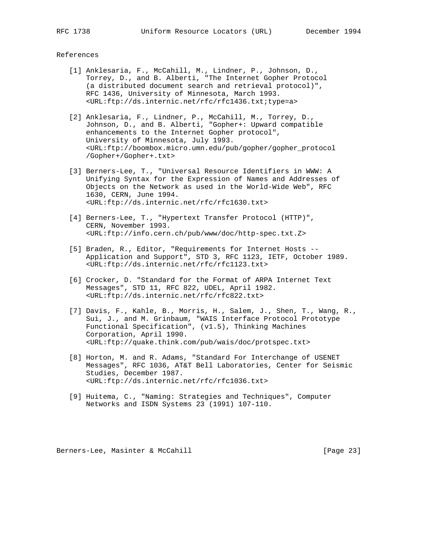# References

- [1] Anklesaria, F., McCahill, M., Lindner, P., Johnson, D., Torrey, D., and B. Alberti, "The Internet Gopher Protocol (a distributed document search and retrieval protocol)", RFC 1436, University of Minnesota, March 1993. <URL:ftp://ds.internic.net/rfc/rfc1436.txt;type=a>
- [2] Anklesaria, F., Lindner, P., McCahill, M., Torrey, D., Johnson, D., and B. Alberti, "Gopher+: Upward compatible enhancements to the Internet Gopher protocol", University of Minnesota, July 1993. <URL:ftp://boombox.micro.umn.edu/pub/gopher/gopher\_protocol /Gopher+/Gopher+.txt>
- [3] Berners-Lee, T., "Universal Resource Identifiers in WWW: A Unifying Syntax for the Expression of Names and Addresses of Objects on the Network as used in the World-Wide Web", RFC 1630, CERN, June 1994. <URL:ftp://ds.internic.net/rfc/rfc1630.txt>
- [4] Berners-Lee, T., "Hypertext Transfer Protocol (HTTP)", CERN, November 1993. <URL:ftp://info.cern.ch/pub/www/doc/http-spec.txt.Z>
- [5] Braden, R., Editor, "Requirements for Internet Hosts -- Application and Support", STD 3, RFC 1123, IETF, October 1989. <URL:ftp://ds.internic.net/rfc/rfc1123.txt>
- [6] Crocker, D. "Standard for the Format of ARPA Internet Text Messages", STD 11, RFC 822, UDEL, April 1982. <URL:ftp://ds.internic.net/rfc/rfc822.txt>
- [7] Davis, F., Kahle, B., Morris, H., Salem, J., Shen, T., Wang, R., Sui, J., and M. Grinbaum, "WAIS Interface Protocol Prototype Functional Specification", (v1.5), Thinking Machines Corporation, April 1990. <URL:ftp://quake.think.com/pub/wais/doc/protspec.txt>
- [8] Horton, M. and R. Adams, "Standard For Interchange of USENET Messages", RFC 1036, AT&T Bell Laboratories, Center for Seismic Studies, December 1987. <URL:ftp://ds.internic.net/rfc/rfc1036.txt>
- [9] Huitema, C., "Naming: Strategies and Techniques", Computer Networks and ISDN Systems 23 (1991) 107-110.

Berners-Lee, Masinter & McCahill [Page 23]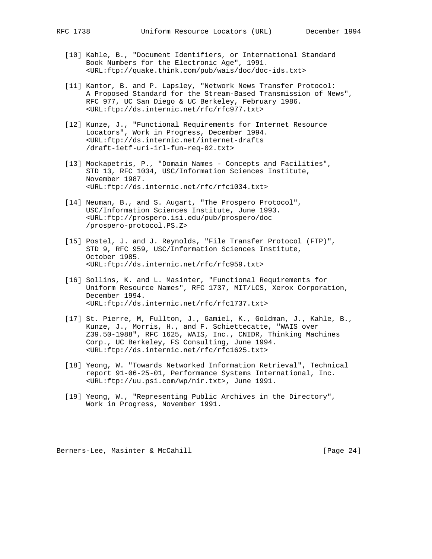- [10] Kahle, B., "Document Identifiers, or International Standard Book Numbers for the Electronic Age", 1991. <URL:ftp://quake.think.com/pub/wais/doc/doc-ids.txt>
- [11] Kantor, B. and P. Lapsley, "Network News Transfer Protocol: A Proposed Standard for the Stream-Based Transmission of News", RFC 977, UC San Diego & UC Berkeley, February 1986. <URL:ftp://ds.internic.net/rfc/rfc977.txt>
- [12] Kunze, J., "Functional Requirements for Internet Resource Locators", Work in Progress, December 1994. <URL:ftp://ds.internic.net/internet-drafts /draft-ietf-uri-irl-fun-req-02.txt>
- [13] Mockapetris, P., "Domain Names Concepts and Facilities", STD 13, RFC 1034, USC/Information Sciences Institute, November 1987. <URL:ftp://ds.internic.net/rfc/rfc1034.txt>
- [14] Neuman, B., and S. Augart, "The Prospero Protocol", USC/Information Sciences Institute, June 1993. <URL:ftp://prospero.isi.edu/pub/prospero/doc /prospero-protocol.PS.Z>
- [15] Postel, J. and J. Reynolds, "File Transfer Protocol (FTP)", STD 9, RFC 959, USC/Information Sciences Institute, October 1985. <URL:ftp://ds.internic.net/rfc/rfc959.txt>
- [16] Sollins, K. and L. Masinter, "Functional Requirements for Uniform Resource Names", RFC 1737, MIT/LCS, Xerox Corporation, December 1994. <URL:ftp://ds.internic.net/rfc/rfc1737.txt>
- [17] St. Pierre, M, Fullton, J., Gamiel, K., Goldman, J., Kahle, B., Kunze, J., Morris, H., and F. Schiettecatte, "WAIS over Z39.50-1988", RFC 1625, WAIS, Inc., CNIDR, Thinking Machines Corp., UC Berkeley, FS Consulting, June 1994. <URL:ftp://ds.internic.net/rfc/rfc1625.txt>
- [18] Yeong, W. "Towards Networked Information Retrieval", Technical report 91-06-25-01, Performance Systems International, Inc. <URL:ftp://uu.psi.com/wp/nir.txt>, June 1991.
- [19] Yeong, W., "Representing Public Archives in the Directory", Work in Progress, November 1991.

Berners-Lee, Masinter & McCahill [Page 24]